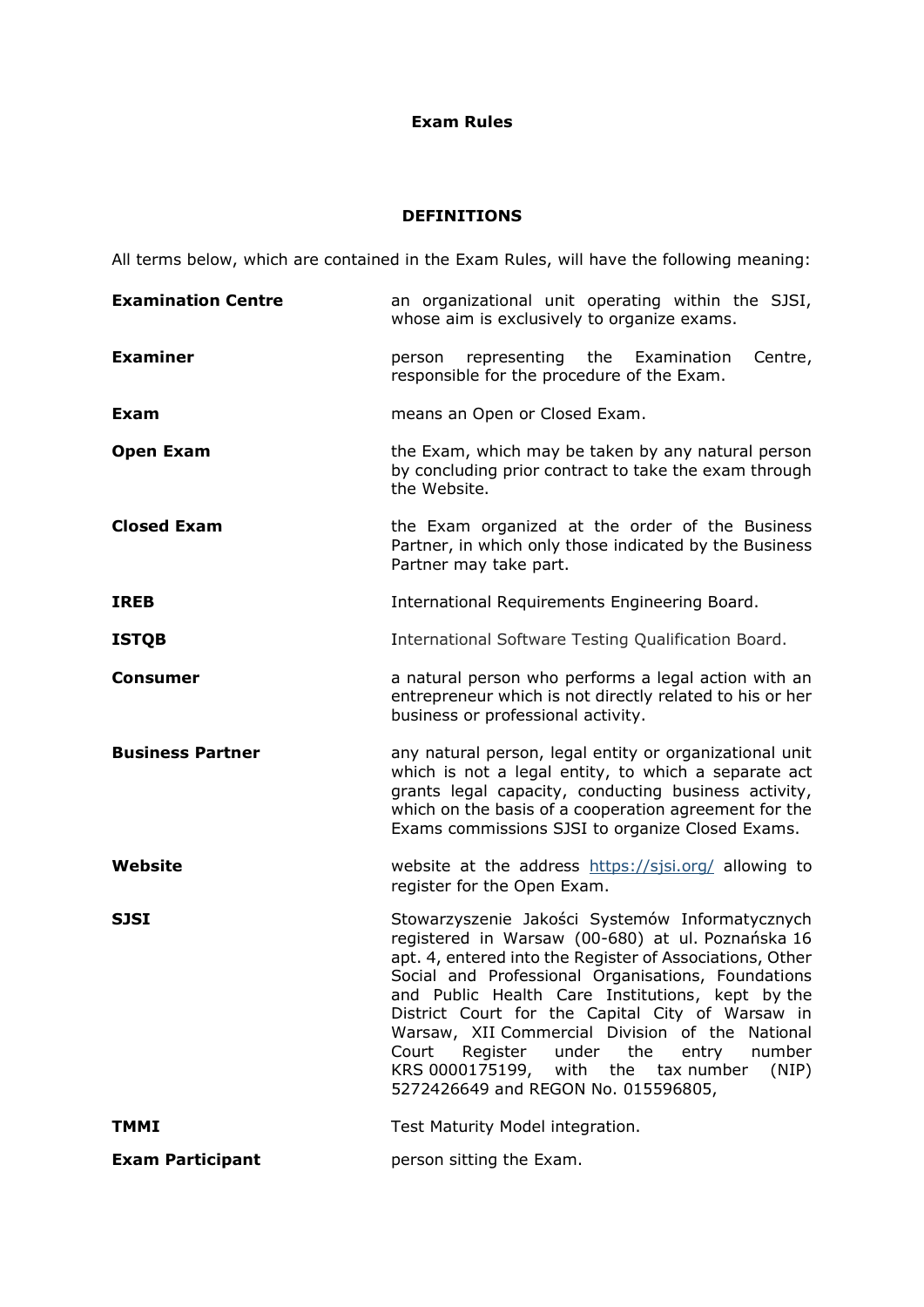## **Exam Rules**

# **DEFINITIONS**

All terms below, which are contained in the Exam Rules, will have the following meaning:

| <b>Examination Centre</b> | an organizational unit operating within the SJSI,<br>whose aim is exclusively to organize exams.                                                                                                                                                                                                                                                                                                                                                                                                                                 |
|---------------------------|----------------------------------------------------------------------------------------------------------------------------------------------------------------------------------------------------------------------------------------------------------------------------------------------------------------------------------------------------------------------------------------------------------------------------------------------------------------------------------------------------------------------------------|
| <b>Examiner</b>           | representing the Examination<br>Centre,<br>person<br>responsible for the procedure of the Exam.                                                                                                                                                                                                                                                                                                                                                                                                                                  |
| <b>Exam</b>               | means an Open or Closed Exam.                                                                                                                                                                                                                                                                                                                                                                                                                                                                                                    |
| <b>Open Exam</b>          | the Exam, which may be taken by any natural person<br>by concluding prior contract to take the exam through<br>the Website.                                                                                                                                                                                                                                                                                                                                                                                                      |
| <b>Closed Exam</b>        | the Exam organized at the order of the Business<br>Partner, in which only those indicated by the Business<br>Partner may take part.                                                                                                                                                                                                                                                                                                                                                                                              |
| <b>IREB</b>               | International Requirements Engineering Board.                                                                                                                                                                                                                                                                                                                                                                                                                                                                                    |
| <b>ISTQB</b>              | International Software Testing Qualification Board.                                                                                                                                                                                                                                                                                                                                                                                                                                                                              |
| Consumer                  | a natural person who performs a legal action with an<br>entrepreneur which is not directly related to his or her<br>business or professional activity.                                                                                                                                                                                                                                                                                                                                                                           |
| <b>Business Partner</b>   | any natural person, legal entity or organizational unit<br>which is not a legal entity, to which a separate act<br>grants legal capacity, conducting business activity,<br>which on the basis of a cooperation agreement for the<br>Exams commissions SJSI to organize Closed Exams.                                                                                                                                                                                                                                             |
| Website                   | website at the address https://sjsi.org/ allowing to                                                                                                                                                                                                                                                                                                                                                                                                                                                                             |
|                           | register for the Open Exam.                                                                                                                                                                                                                                                                                                                                                                                                                                                                                                      |
| <b>SJSI</b>               | Stowarzyszenie Jakości Systemów Informatycznych<br>registered in Warsaw (00-680) at ul. Poznańska 16<br>apt. 4, entered into the Register of Associations, Other<br>Social and Professional Organisations, Foundations<br>and Public Health Care Institutions, kept by the<br>District Court for the Capital City of Warsaw in<br>Warsaw, XII Commercial Division of the National<br>Register<br>under<br>the<br>number<br>Court<br>entry<br>KRS 0000175199, with the tax number<br>(NIP)<br>5272426649 and REGON No. 015596805, |
| <b>TMMI</b>               | Test Maturity Model integration.                                                                                                                                                                                                                                                                                                                                                                                                                                                                                                 |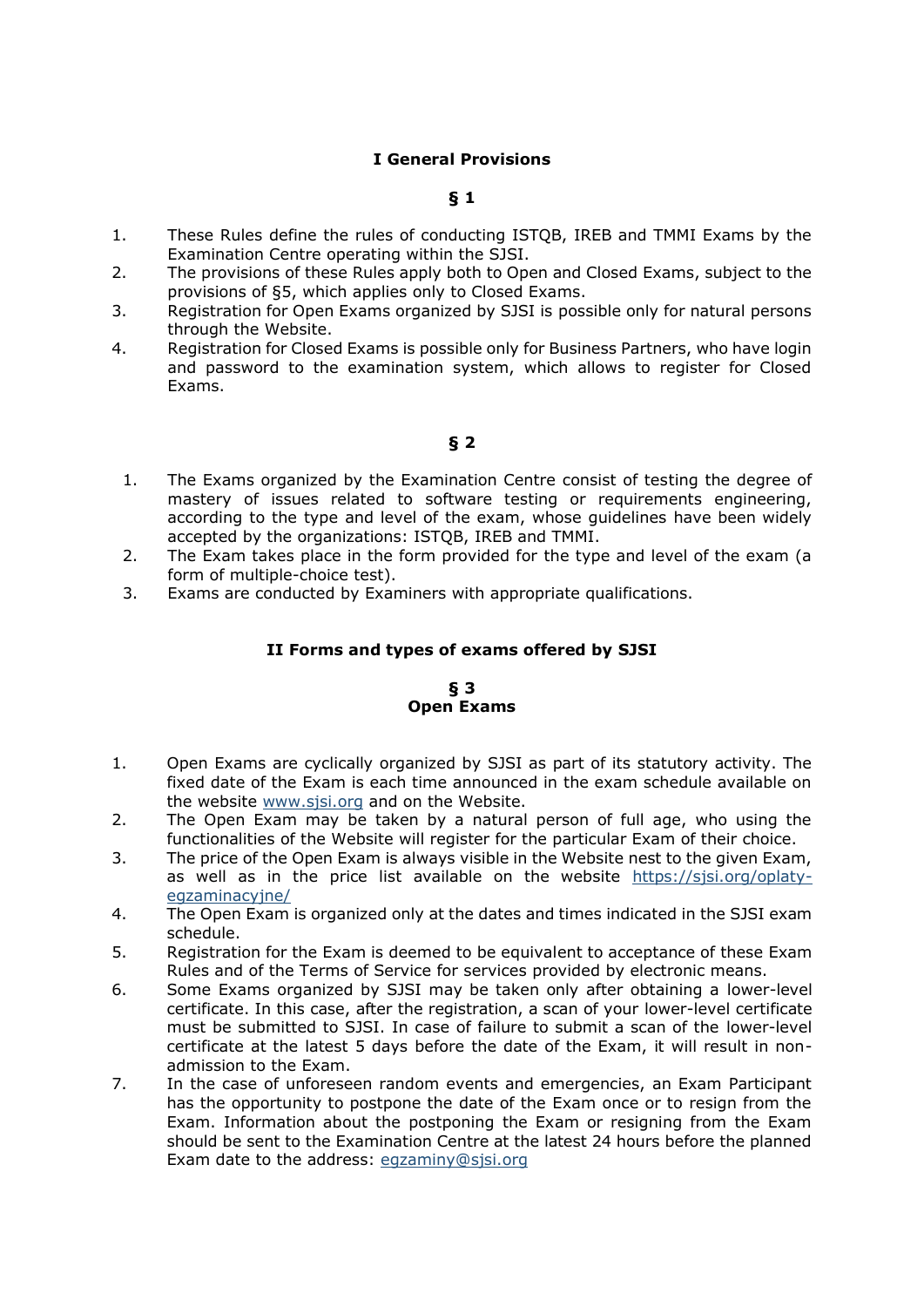## **I General Provisions**

## **§ 1**

- 1. These Rules define the rules of conducting ISTQB, IREB and TMMI Exams by the Examination Centre operating within the SJSI.
- 2. The provisions of these Rules apply both to Open and Closed Exams, subject to the provisions of §5, which applies only to Closed Exams.
- 3. Registration for Open Exams organized by SJSI is possible only for natural persons through the Website.
- 4. Registration for Closed Exams is possible only for Business Partners, who have login and password to the examination system, which allows to register for Closed Exams.

## **§ 2**

- 1. The Exams organized by the Examination Centre consist of testing the degree of mastery of issues related to software testing or requirements engineering, according to the type and level of the exam, whose guidelines have been widely accepted by the organizations: ISTQB, IREB and TMMI.
- 2. The Exam takes place in the form provided for the type and level of the exam (a form of multiple-choice test).
- 3. Exams are conducted by Examiners with appropriate qualifications.

## **II Forms and types of exams offered by SJSI**

#### **§ 3 Open Exams**

- 1. Open Exams are cyclically organized by SJSI as part of its statutory activity. The fixed date of the Exam is each time announced in the exam schedule available on the website [www.sjsi.org](http://www.sjsi.org/) and on the Website.
- 2. The Open Exam may be taken by a natural person of full age, who using the functionalities of the Website will register for the particular Exam of their choice.
- 3. The price of the Open Exam is always visible in the Website nest to the given Exam, as well as in the price list available on the website [https://sjsi.org/oplaty](https://sjsi.org/oplaty-egzaminacyjne/)[egzaminacyjne/](https://sjsi.org/oplaty-egzaminacyjne/)
- 4. The Open Exam is organized only at the dates and times indicated in the SJSI exam schedule.
- 5. Registration for the Exam is deemed to be equivalent to acceptance of these Exam Rules and of the Terms of Service for services provided by electronic means.
- 6. Some Exams organized by SJSI may be taken only after obtaining a lower-level certificate. In this case, after the registration, a scan of your lower-level certificate must be submitted to SJSI. In case of failure to submit a scan of the lower-level certificate at the latest 5 days before the date of the Exam, it will result in nonadmission to the Exam.
- 7. In the case of unforeseen random events and emergencies, an Exam Participant has the opportunity to postpone the date of the Exam once or to resign from the Exam. Information about the postponing the Exam or resigning from the Exam should be sent to the Examination Centre at the latest 24 hours before the planned Exam date to the address: [egzaminy@sjsi.org](mailto:egzaminy@sjsi.org)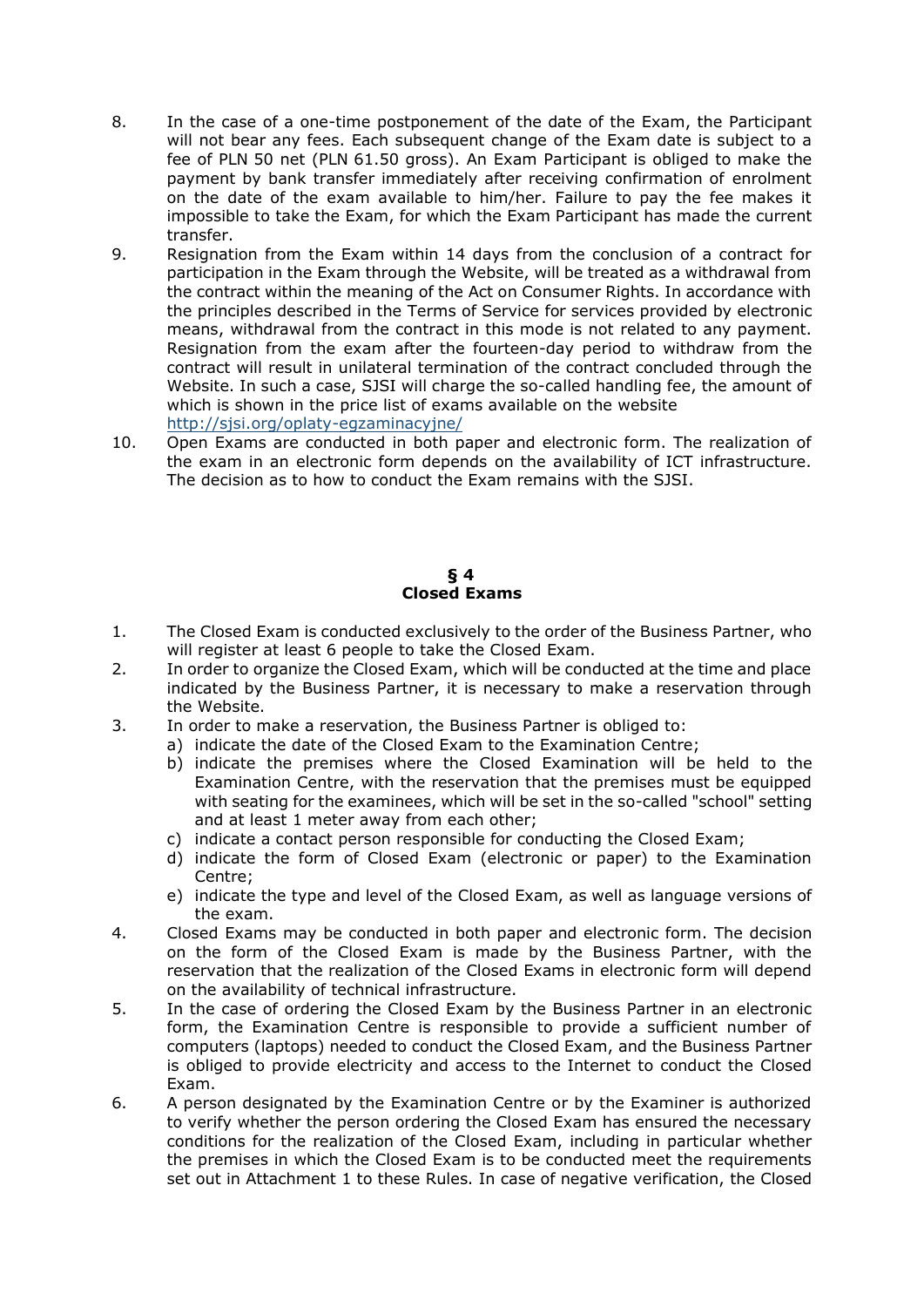- 8. In the case of a one-time postponement of the date of the Exam, the Participant will not bear any fees. Each subsequent change of the Exam date is subject to a fee of PLN 50 net (PLN 61.50 gross). An Exam Participant is obliged to make the payment by bank transfer immediately after receiving confirmation of enrolment on the date of the exam available to him/her. Failure to pay the fee makes it impossible to take the Exam, for which the Exam Participant has made the current transfer.
- 9. Resignation from the Exam within 14 days from the conclusion of a contract for participation in the Exam through the Website, will be treated as a withdrawal from the contract within the meaning of the Act on Consumer Rights. In accordance with the principles described in the Terms of Service for services provided by electronic means, withdrawal from the contract in this mode is not related to any payment. Resignation from the exam after the fourteen-day period to withdraw from the contract will result in unilateral termination of the contract concluded through the Website. In such a case, SJSI will charge the so-called handling fee, the amount of which is shown in the price list of exams available on the website <http://sjsi.org/oplaty-egzaminacyjne/>
- 10. Open Exams are conducted in both paper and electronic form. The realization of the exam in an electronic form depends on the availability of ICT infrastructure. The decision as to how to conduct the Exam remains with the SJSI.

### **§ 4 Closed Exams**

- 1. The Closed Exam is conducted exclusively to the order of the Business Partner, who will register at least 6 people to take the Closed Exam.
- 2. In order to organize the Closed Exam, which will be conducted at the time and place indicated by the Business Partner, it is necessary to make a reservation through the Website.
- 3. In order to make a reservation, the Business Partner is obliged to:
	- a) indicate the date of the Closed Exam to the Examination Centre;
		- b) indicate the premises where the Closed Examination will be held to the Examination Centre, with the reservation that the premises must be equipped with seating for the examinees, which will be set in the so-called "school" setting and at least 1 meter away from each other;
		- c) indicate a contact person responsible for conducting the Closed Exam;
		- d) indicate the form of Closed Exam (electronic or paper) to the Examination Centre;
		- e) indicate the type and level of the Closed Exam, as well as language versions of the exam.
- 4. Closed Exams may be conducted in both paper and electronic form. The decision on the form of the Closed Exam is made by the Business Partner, with the reservation that the realization of the Closed Exams in electronic form will depend on the availability of technical infrastructure.
- 5. In the case of ordering the Closed Exam by the Business Partner in an electronic form, the Examination Centre is responsible to provide a sufficient number of computers (laptops) needed to conduct the Closed Exam, and the Business Partner is obliged to provide electricity and access to the Internet to conduct the Closed Exam.
- 6. A person designated by the Examination Centre or by the Examiner is authorized to verify whether the person ordering the Closed Exam has ensured the necessary conditions for the realization of the Closed Exam, including in particular whether the premises in which the Closed Exam is to be conducted meet the requirements set out in Attachment 1 to these Rules. In case of negative verification, the Closed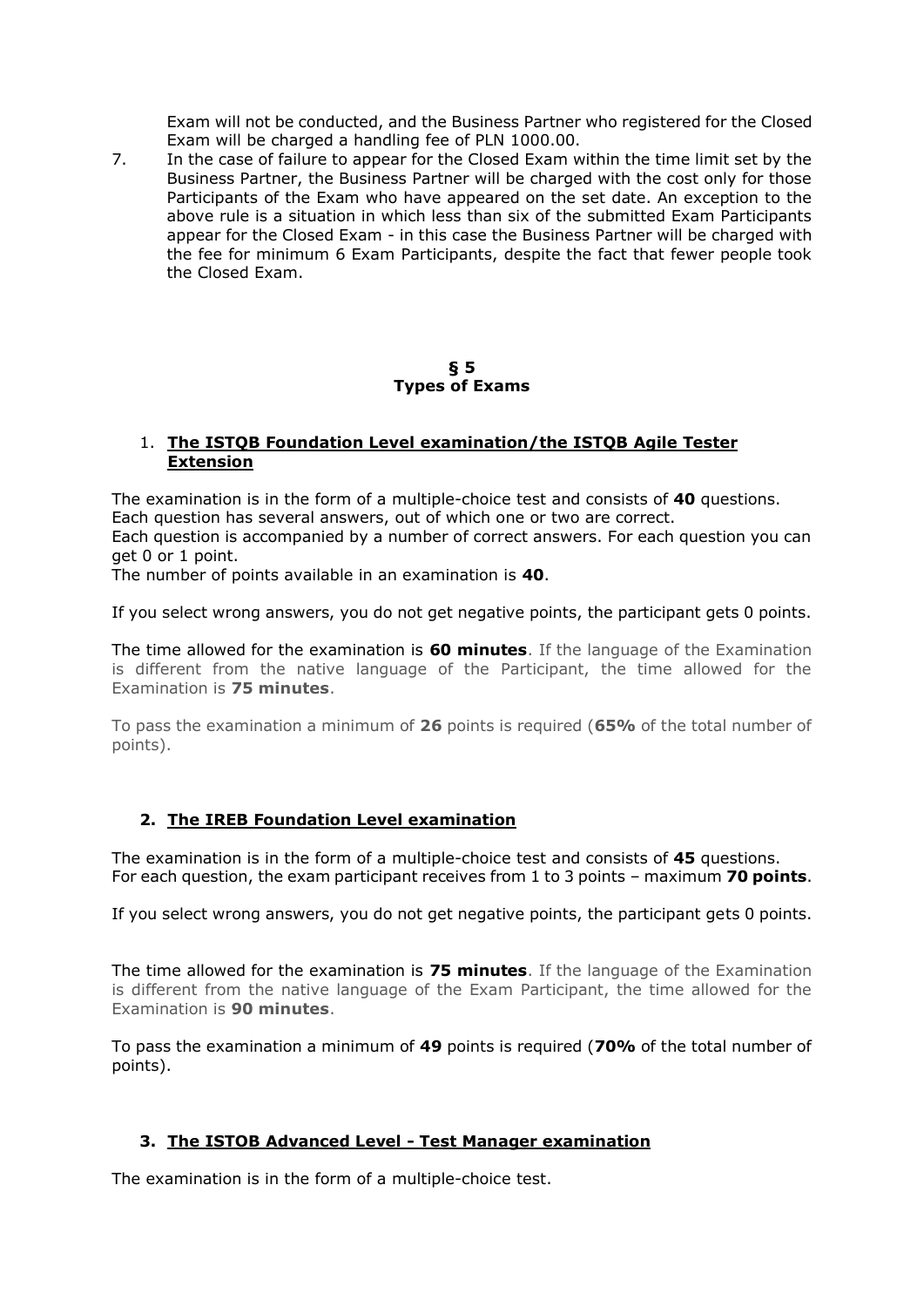Exam will not be conducted, and the Business Partner who registered for the Closed Exam will be charged a handling fee of PLN 1000.00.

7. In the case of failure to appear for the Closed Exam within the time limit set by the Business Partner, the Business Partner will be charged with the cost only for those Participants of the Exam who have appeared on the set date. An exception to the above rule is a situation in which less than six of the submitted Exam Participants appear for the Closed Exam - in this case the Business Partner will be charged with the fee for minimum 6 Exam Participants, despite the fact that fewer people took the Closed Exam.

#### **§ 5 Types of Exams**

### 1. **The ISTQB Foundation Level examination/the ISTQB Agile Tester Extension**

The examination is in the form of a multiple-choice test and consists of **40** questions. Each question has several answers, out of which one or two are correct. Each question is accompanied by a number of correct answers. For each question you can get 0 or 1 point.

The number of points available in an examination is **40**.

If you select wrong answers, you do not get negative points, the participant gets 0 points.

The time allowed for the examination is **60 minutes**. If the language of the Examination is different from the native language of the Participant, the time allowed for the Examination is **75 minutes**.

To pass the examination a minimum of **26** points is required (**65%** of the total number of points).

## **2. The IREB Foundation Level examination**

The examination is in the form of a multiple-choice test and consists of **45** questions. For each question, the exam participant receives from 1 to 3 points – maximum **70 points**.

If you select wrong answers, you do not get negative points, the participant gets 0 points.

The time allowed for the examination is **75 minutes**. If the language of the Examination is different from the native language of the Exam Participant, the time allowed for the Examination is **90 minutes**.

To pass the examination a minimum of **49** points is required (**70%** of the total number of points).

## **3. The ISTOB Advanced Level - Test Manager examination**

The examination is in the form of a multiple-choice test.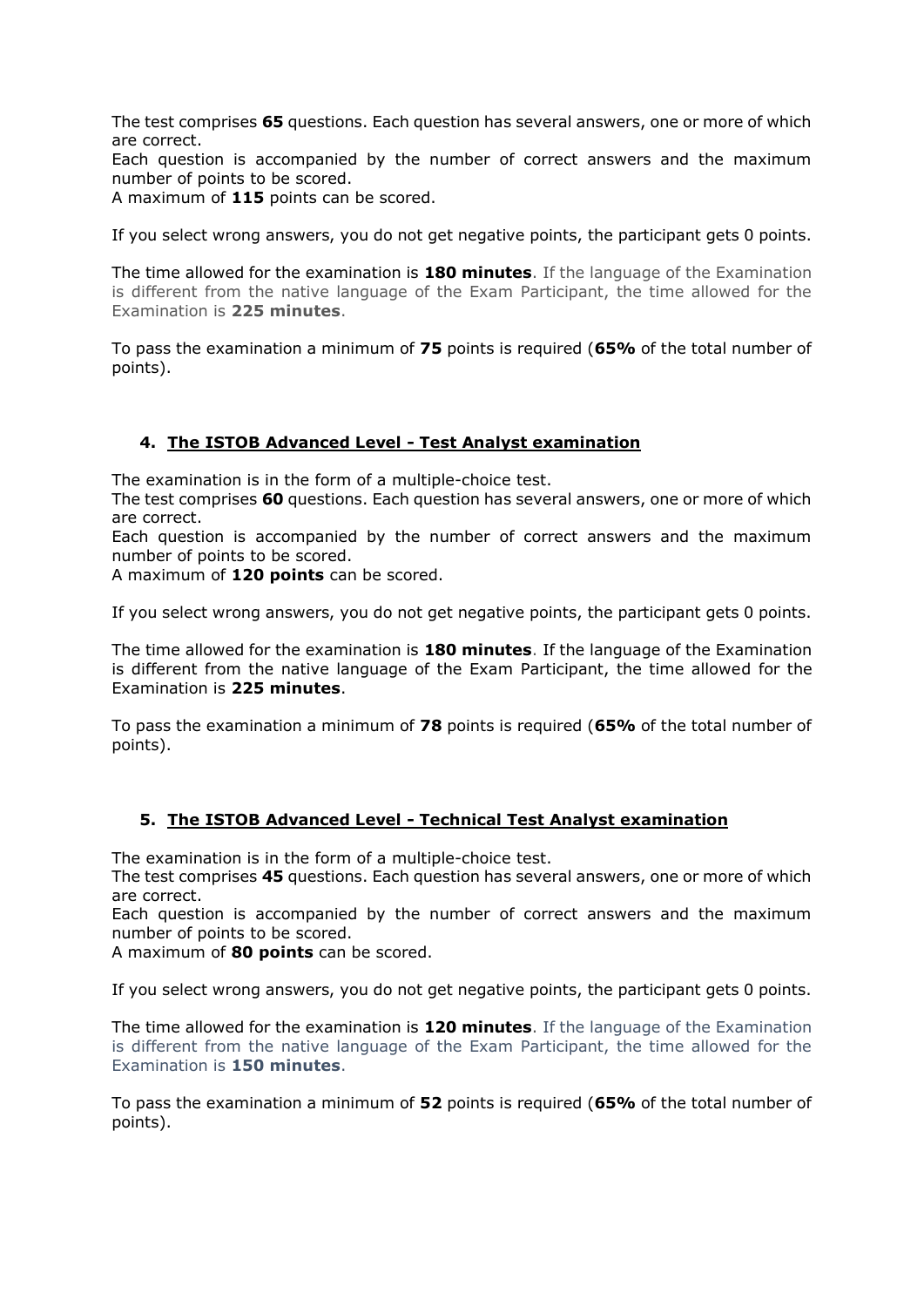The test comprises **65** questions. Each question has several answers, one or more of which are correct.

Each question is accompanied by the number of correct answers and the maximum number of points to be scored.

A maximum of **115** points can be scored.

If you select wrong answers, you do not get negative points, the participant gets 0 points.

The time allowed for the examination is **180 minutes**. If the language of the Examination is different from the native language of the Exam Participant, the time allowed for the Examination is **225 minutes**.

To pass the examination a minimum of **75** points is required (**65%** of the total number of points).

## **4. The ISTOB Advanced Level - Test Analyst examination**

The examination is in the form of a multiple-choice test.

The test comprises **60** questions. Each question has several answers, one or more of which are correct.

Each question is accompanied by the number of correct answers and the maximum number of points to be scored.

A maximum of **120 points** can be scored.

If you select wrong answers, you do not get negative points, the participant gets 0 points.

The time allowed for the examination is **180 minutes**. If the language of the Examination is different from the native language of the Exam Participant, the time allowed for the Examination is **225 minutes**.

To pass the examination a minimum of **78** points is required (**65%** of the total number of points).

## **5. The ISTOB Advanced Level - Technical Test Analyst examination**

The examination is in the form of a multiple-choice test.

The test comprises **45** questions. Each question has several answers, one or more of which are correct.

Each question is accompanied by the number of correct answers and the maximum number of points to be scored.

A maximum of **80 points** can be scored.

If you select wrong answers, you do not get negative points, the participant gets 0 points.

The time allowed for the examination is **120 minutes**. If the language of the Examination is different from the native language of the Exam Participant, the time allowed for the Examination is **150 minutes**.

To pass the examination a minimum of **52** points is required (**65%** of the total number of points).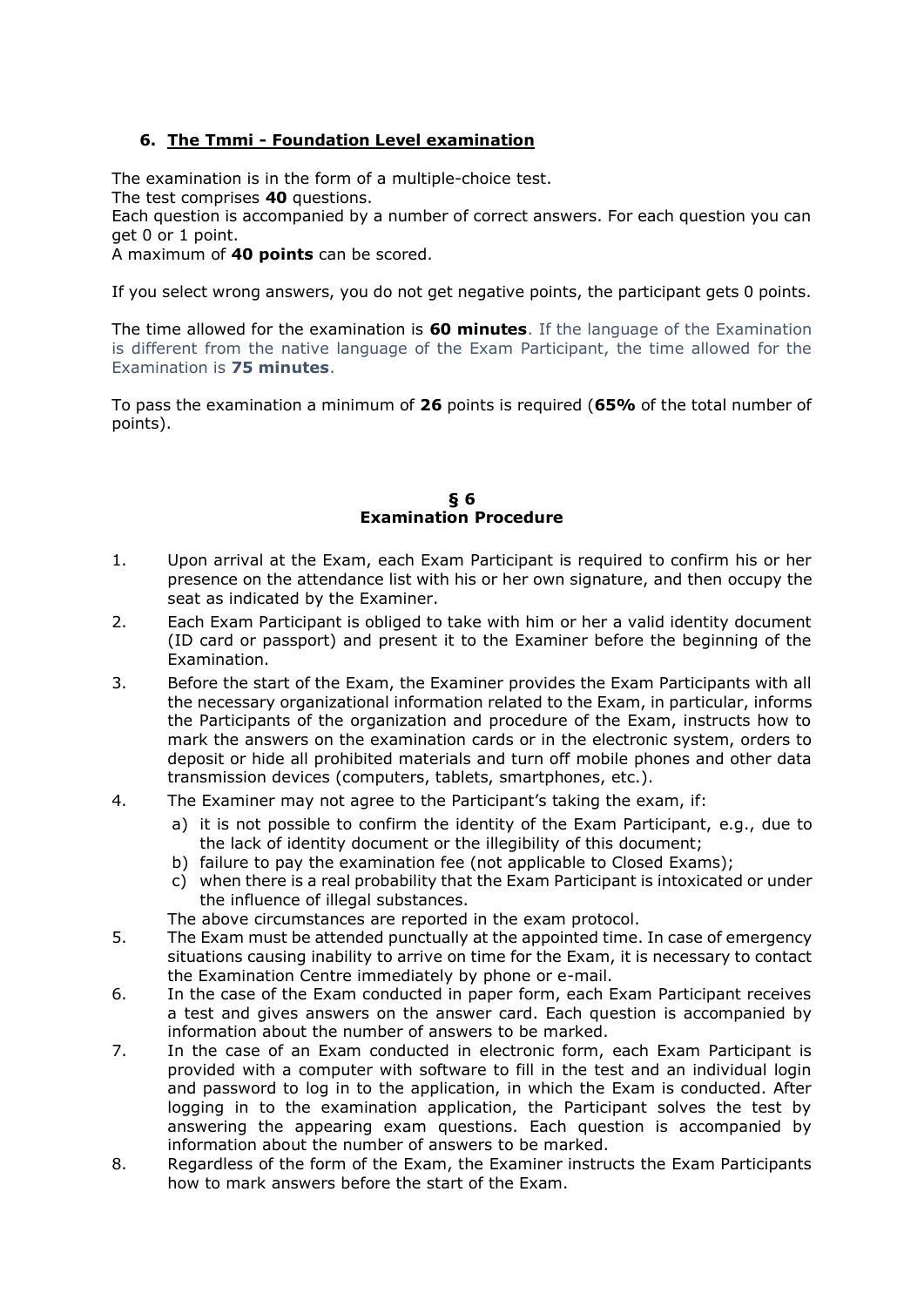# **6. The Tmmi - Foundation Level examination**

The examination is in the form of a multiple-choice test.

The test comprises **40** questions.

Each question is accompanied by a number of correct answers. For each question you can get 0 or 1 point.

A maximum of **40 points** can be scored.

If you select wrong answers, you do not get negative points, the participant gets 0 points.

The time allowed for the examination is **60 minutes**. If the language of the Examination is different from the native language of the Exam Participant, the time allowed for the Examination is **75 minutes**.

To pass the examination a minimum of **26** points is required (**65%** of the total number of points).

#### **§ 6 Examination Procedure**

- 1. Upon arrival at the Exam, each Exam Participant is required to confirm his or her presence on the attendance list with his or her own signature, and then occupy the seat as indicated by the Examiner.
- 2. Each Exam Participant is obliged to take with him or her a valid identity document (ID card or passport) and present it to the Examiner before the beginning of the Examination.
- 3. Before the start of the Exam, the Examiner provides the Exam Participants with all the necessary organizational information related to the Exam, in particular, informs the Participants of the organization and procedure of the Exam, instructs how to mark the answers on the examination cards or in the electronic system, orders to deposit or hide all prohibited materials and turn off mobile phones and other data transmission devices (computers, tablets, smartphones, etc.).
- 4. The Examiner may not agree to the Participant's taking the exam, if:
	- a) it is not possible to confirm the identity of the Exam Participant, e.g., due to the lack of identity document or the illegibility of this document;
	- b) failure to pay the examination fee (not applicable to Closed Exams);
	- c) when there is a real probability that the Exam Participant is intoxicated or under the influence of illegal substances.

The above circumstances are reported in the exam protocol.

- 5. The Exam must be attended punctually at the appointed time. In case of emergency situations causing inability to arrive on time for the Exam, it is necessary to contact the Examination Centre immediately by phone or e-mail.
- 6. In the case of the Exam conducted in paper form, each Exam Participant receives a test and gives answers on the answer card. Each question is accompanied by information about the number of answers to be marked.
- 7. In the case of an Exam conducted in electronic form, each Exam Participant is provided with a computer with software to fill in the test and an individual login and password to log in to the application, in which the Exam is conducted. After logging in to the examination application, the Participant solves the test by answering the appearing exam questions. Each question is accompanied by information about the number of answers to be marked.
- 8. Regardless of the form of the Exam, the Examiner instructs the Exam Participants how to mark answers before the start of the Exam.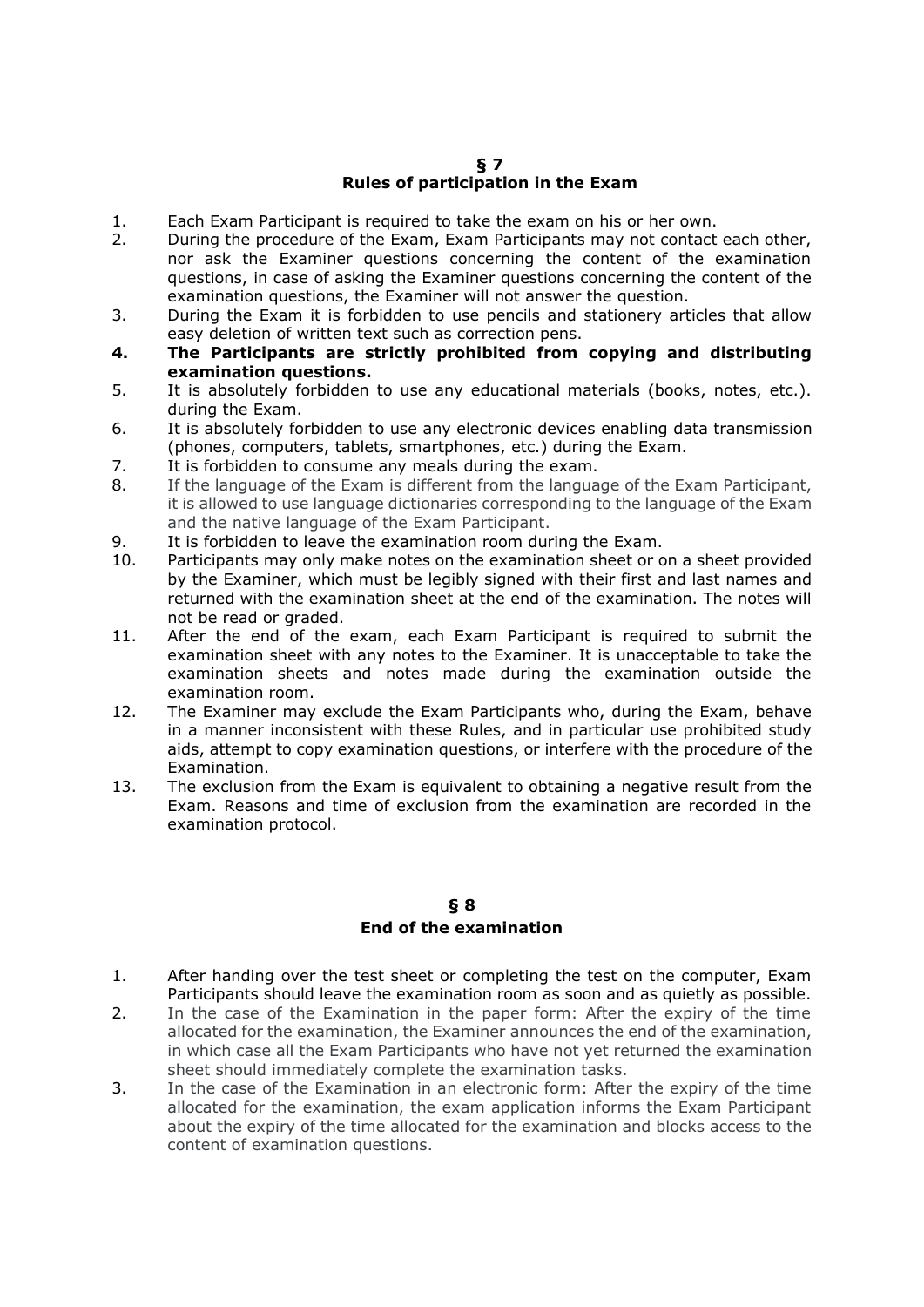### **§ 7 Rules of participation in the Exam**

- 1. Each Exam Participant is required to take the exam on his or her own.
- 2. During the procedure of the Exam, Exam Participants may not contact each other, nor ask the Examiner questions concerning the content of the examination questions, in case of asking the Examiner questions concerning the content of the examination questions, the Examiner will not answer the question.
- 3. During the Exam it is forbidden to use pencils and stationery articles that allow easy deletion of written text such as correction pens.
- **4. The Participants are strictly prohibited from copying and distributing examination questions.**
- 5. It is absolutely forbidden to use any educational materials (books, notes, etc.). during the Exam.
- 6. It is absolutely forbidden to use any electronic devices enabling data transmission (phones, computers, tablets, smartphones, etc.) during the Exam.
- 7. It is forbidden to consume any meals during the exam.
- 8. If the language of the Exam is different from the language of the Exam Participant, it is allowed to use language dictionaries corresponding to the language of the Exam and the native language of the Exam Participant.
- 9. It is forbidden to leave the examination room during the Exam.
- 10. Participants may only make notes on the examination sheet or on a sheet provided by the Examiner, which must be legibly signed with their first and last names and returned with the examination sheet at the end of the examination. The notes will not be read or graded.
- 11. After the end of the exam, each Exam Participant is required to submit the examination sheet with any notes to the Examiner. It is unacceptable to take the examination sheets and notes made during the examination outside the examination room.
- 12. The Examiner may exclude the Exam Participants who, during the Exam, behave in a manner inconsistent with these Rules, and in particular use prohibited study aids, attempt to copy examination questions, or interfere with the procedure of the Examination.
- 13. The exclusion from the Exam is equivalent to obtaining a negative result from the Exam. Reasons and time of exclusion from the examination are recorded in the examination protocol.

### **§ 8 End of the examination**

- 1. After handing over the test sheet or completing the test on the computer, Exam Participants should leave the examination room as soon and as quietly as possible.
- 2. In the case of the Examination in the paper form: After the expiry of the time allocated for the examination, the Examiner announces the end of the examination, in which case all the Exam Participants who have not yet returned the examination sheet should immediately complete the examination tasks.
- 3. In the case of the Examination in an electronic form: After the expiry of the time allocated for the examination, the exam application informs the Exam Participant about the expiry of the time allocated for the examination and blocks access to the content of examination questions.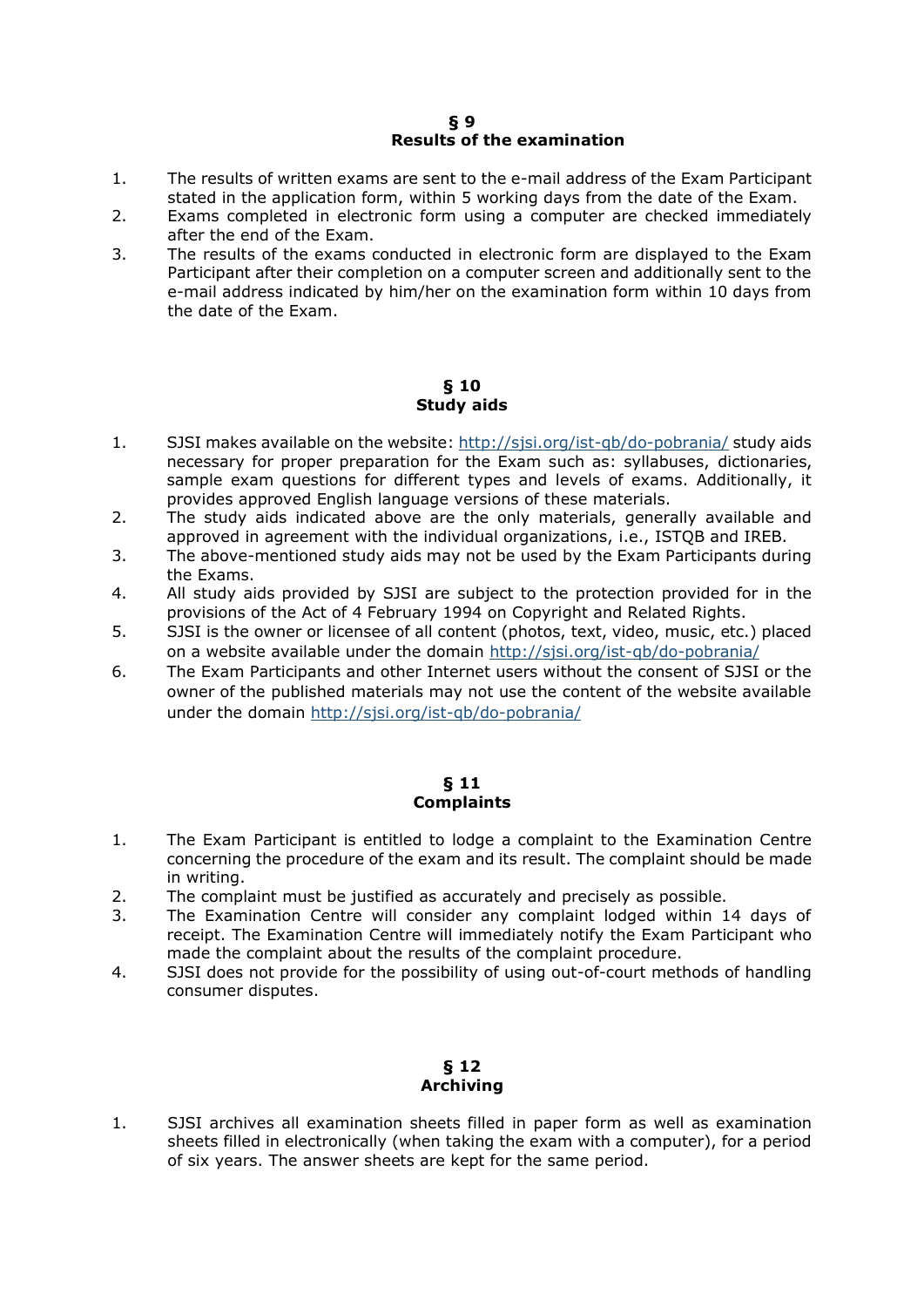### **§ 9 Results of the examination**

- 1. The results of written exams are sent to the e-mail address of the Exam Participant stated in the application form, within 5 working days from the date of the Exam.
- 2. Exams completed in electronic form using a computer are checked immediately after the end of the Exam.
- 3. The results of the exams conducted in electronic form are displayed to the Exam Participant after their completion on a computer screen and additionally sent to the e-mail address indicated by him/her on the examination form within 10 days from the date of the Exam.

### **§ 10 Study aids**

- 1. SJSI makes available on the website:<http://sjsi.org/ist-qb/do-pobrania/> study aids necessary for proper preparation for the Exam such as: syllabuses, dictionaries, sample exam questions for different types and levels of exams. Additionally, it provides approved English language versions of these materials.
- 2. The study aids indicated above are the only materials, generally available and approved in agreement with the individual organizations, i.e., ISTQB and IREB.
- 3. The above-mentioned study aids may not be used by the Exam Participants during the Exams.
- 4. All study aids provided by SJSI are subject to the protection provided for in the provisions of the Act of 4 February 1994 on Copyright and Related Rights.
- 5. SJSI is the owner or licensee of all content (photos, text, video, music, etc.) placed on a website available under the domain<http://sjsi.org/ist-qb/do-pobrania/>
- 6. The Exam Participants and other Internet users without the consent of SJSI or the owner of the published materials may not use the content of the website available under the domain<http://sjsi.org/ist-qb/do-pobrania/>

#### **§ 11 Complaints**

- 1. The Exam Participant is entitled to lodge a complaint to the Examination Centre concerning the procedure of the exam and its result. The complaint should be made in writing.
- 2. The complaint must be justified as accurately and precisely as possible.
- 3. The Examination Centre will consider any complaint lodged within 14 days of receipt. The Examination Centre will immediately notify the Exam Participant who made the complaint about the results of the complaint procedure.
- 4. SJSI does not provide for the possibility of using out-of-court methods of handling consumer disputes.

# **§ 12 Archiving**

1. SJSI archives all examination sheets filled in paper form as well as examination sheets filled in electronically (when taking the exam with a computer), for a period of six years. The answer sheets are kept for the same period.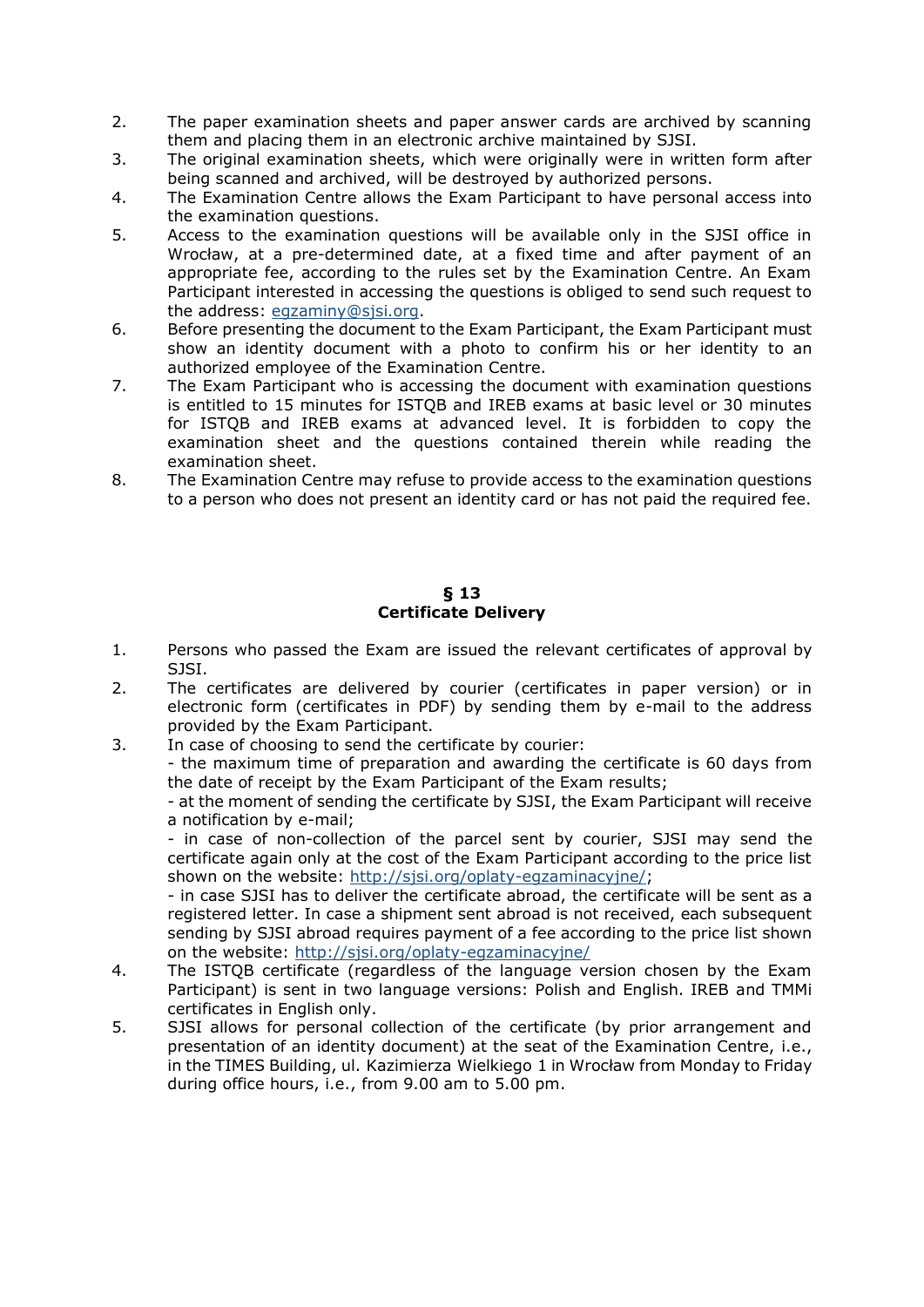- 2. The paper examination sheets and paper answer cards are archived by scanning them and placing them in an electronic archive maintained by SJSI.
- 3. The original examination sheets, which were originally were in written form after being scanned and archived, will be destroyed by authorized persons.
- 4. The Examination Centre allows the Exam Participant to have personal access into the examination questions.
- 5. Access to the examination questions will be available only in the SJSI office in Wrocław, at a pre-determined date, at a fixed time and after payment of an appropriate fee, according to the rules set by the Examination Centre. An Exam Participant interested in accessing the questions is obliged to send such request to the address: [egzaminy@sjsi.org.](mailto:egzaminy@sjsi.org)
- 6. Before presenting the document to the Exam Participant, the Exam Participant must show an identity document with a photo to confirm his or her identity to an authorized employee of the Examination Centre.
- 7. The Exam Participant who is accessing the document with examination questions is entitled to 15 minutes for ISTQB and IREB exams at basic level or 30 minutes for ISTQB and IREB exams at advanced level. It is forbidden to copy the examination sheet and the questions contained therein while reading the examination sheet.
- 8. The Examination Centre may refuse to provide access to the examination questions to a person who does not present an identity card or has not paid the required fee.

### **§ 13 Certificate Delivery**

- 1. Persons who passed the Exam are issued the relevant certificates of approval by SJSI.
- 2. The certificates are delivered by courier (certificates in paper version) or in electronic form (certificates in PDF) by sending them by e-mail to the address provided by the Exam Participant.
- 3. In case of choosing to send the certificate by courier:

- the maximum time of preparation and awarding the certificate is 60 days from the date of receipt by the Exam Participant of the Exam results;

- at the moment of sending the certificate by SJSI, the Exam Participant will receive a notification by e-mail;

- in case of non-collection of the parcel sent by courier, SJSI may send the certificate again only at the cost of the Exam Participant according to the price list shown on the website: [http://sjsi.org/oplaty-egzaminacyjne/;](http://sjsi.org/oplaty-egzaminacyjne/)

- in case SJSI has to deliver the certificate abroad, the certificate will be sent as a registered letter. In case a shipment sent abroad is not received, each subsequent sending by SJSI abroad requires payment of a fee according to the price list shown on the website:<http://sjsi.org/oplaty-egzaminacyjne/>

- 4. The ISTQB certificate (regardless of the language version chosen by the Exam Participant) is sent in two language versions: Polish and English. IREB and TMMi certificates in English only.
- 5. SJSI allows for personal collection of the certificate (by prior arrangement and presentation of an identity document) at the seat of the Examination Centre, i.e., in the TIMES Building, ul. Kazimierza Wielkiego 1 in Wrocław from Monday to Friday during office hours, i.e., from 9.00 am to 5.00 pm.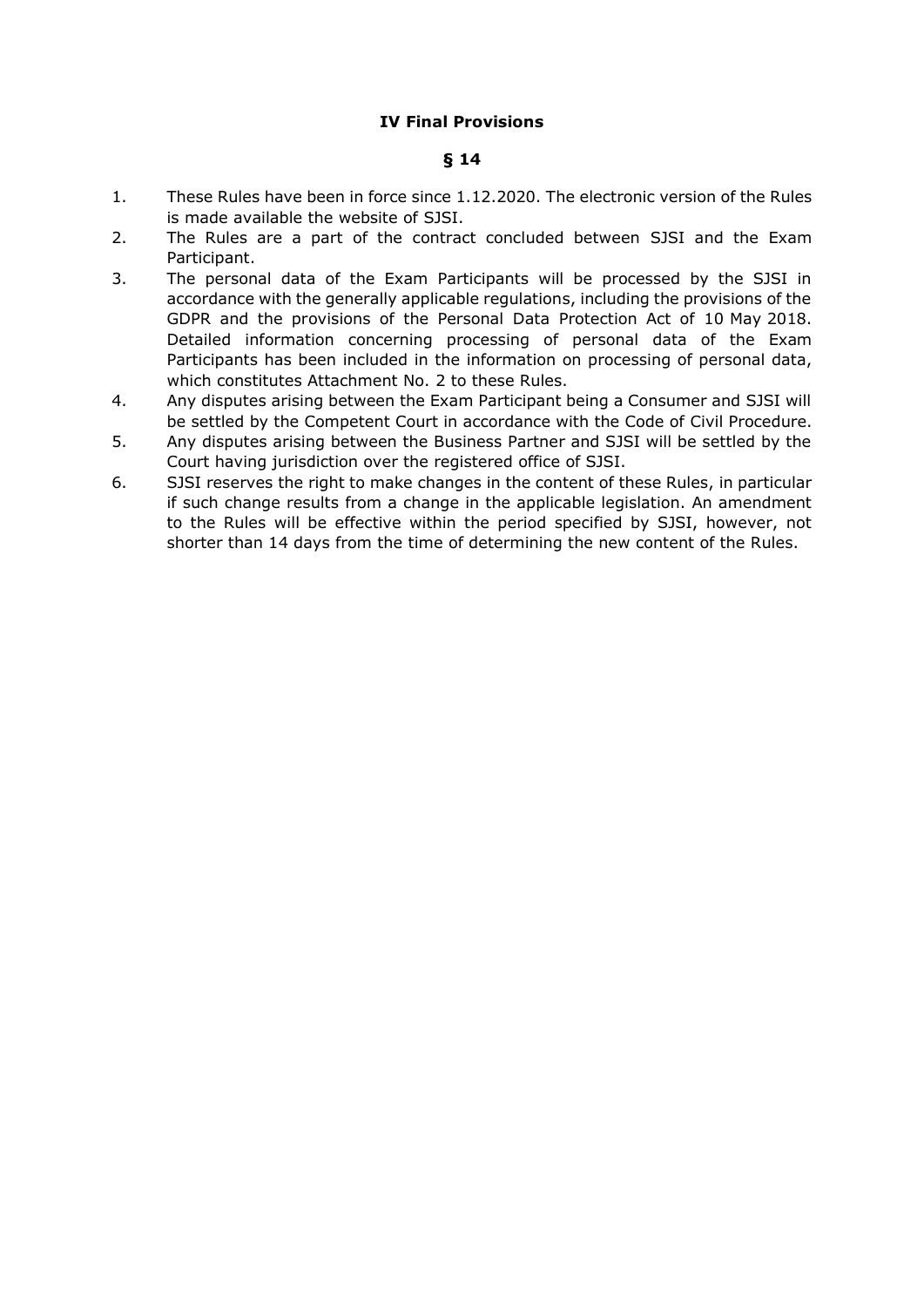## **IV Final Provisions**

## **§ 14**

- 1. These Rules have been in force since 1.12.2020. The electronic version of the Rules is made available the website of SJSI.
- 2. The Rules are a part of the contract concluded between SJSI and the Exam Participant.
- 3. The personal data of the Exam Participants will be processed by the SJSI in accordance with the generally applicable regulations, including the provisions of the GDPR and the provisions of the Personal Data Protection Act of 10 May 2018. Detailed information concerning processing of personal data of the Exam Participants has been included in the information on processing of personal data, which constitutes Attachment No. 2 to these Rules.
- 4. Any disputes arising between the Exam Participant being a Consumer and SJSI will be settled by the Competent Court in accordance with the Code of Civil Procedure.
- 5. Any disputes arising between the Business Partner and SJSI will be settled by the Court having jurisdiction over the registered office of SJSI.
- 6. SJSI reserves the right to make changes in the content of these Rules, in particular if such change results from a change in the applicable legislation. An amendment to the Rules will be effective within the period specified by SJSI, however, not shorter than 14 days from the time of determining the new content of the Rules.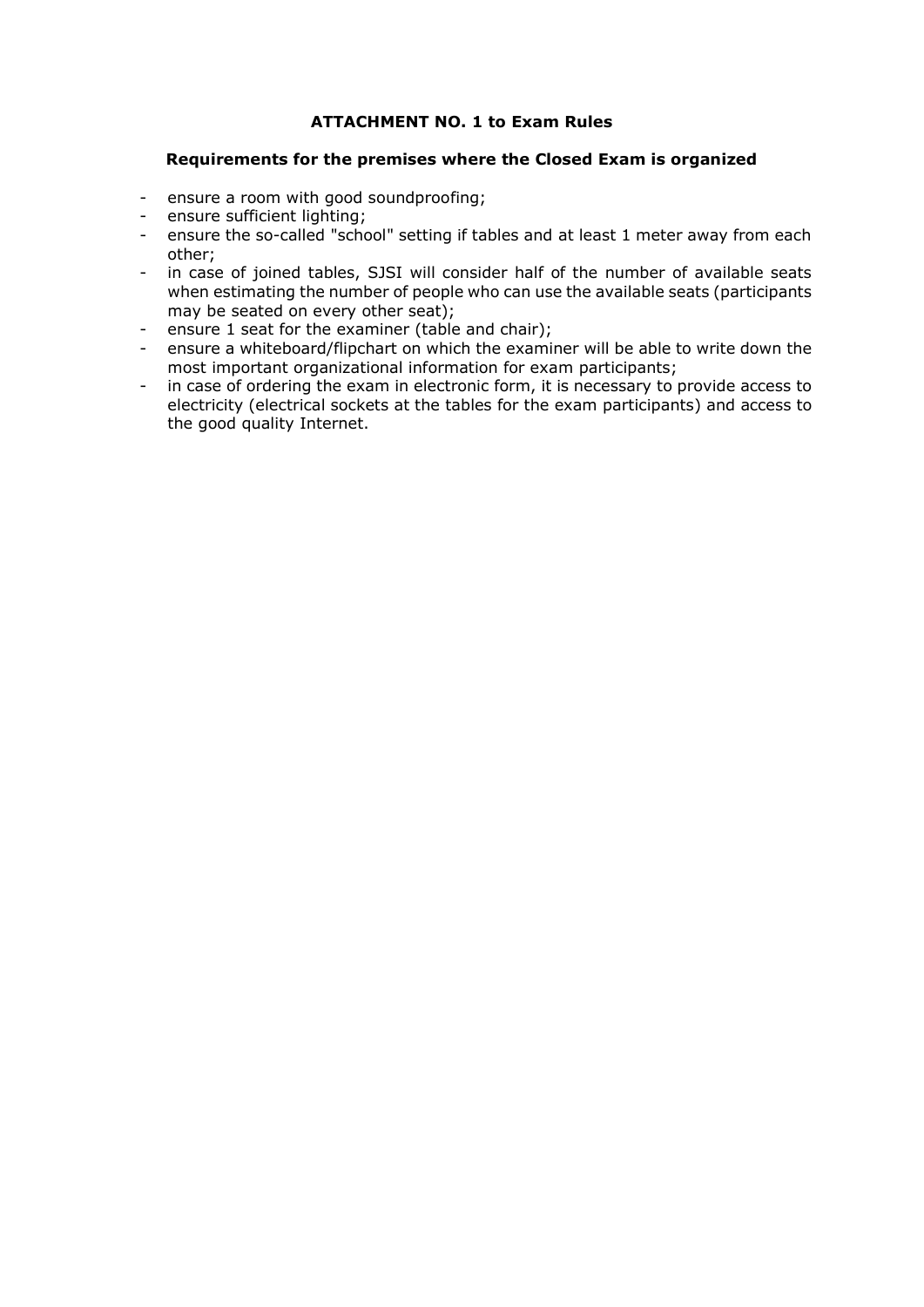## **ATTACHMENT NO. 1 to Exam Rules**

### **Requirements for the premises where the Closed Exam is organized**

- ensure a room with good soundproofing;
- ensure sufficient lighting;
- ensure the so-called "school" setting if tables and at least 1 meter away from each other;
- in case of joined tables, SJSI will consider half of the number of available seats when estimating the number of people who can use the available seats (participants may be seated on every other seat);
- ensure 1 seat for the examiner (table and chair);
- ensure a whiteboard/flipchart on which the examiner will be able to write down the most important organizational information for exam participants;
- in case of ordering the exam in electronic form, it is necessary to provide access to electricity (electrical sockets at the tables for the exam participants) and access to the good quality Internet.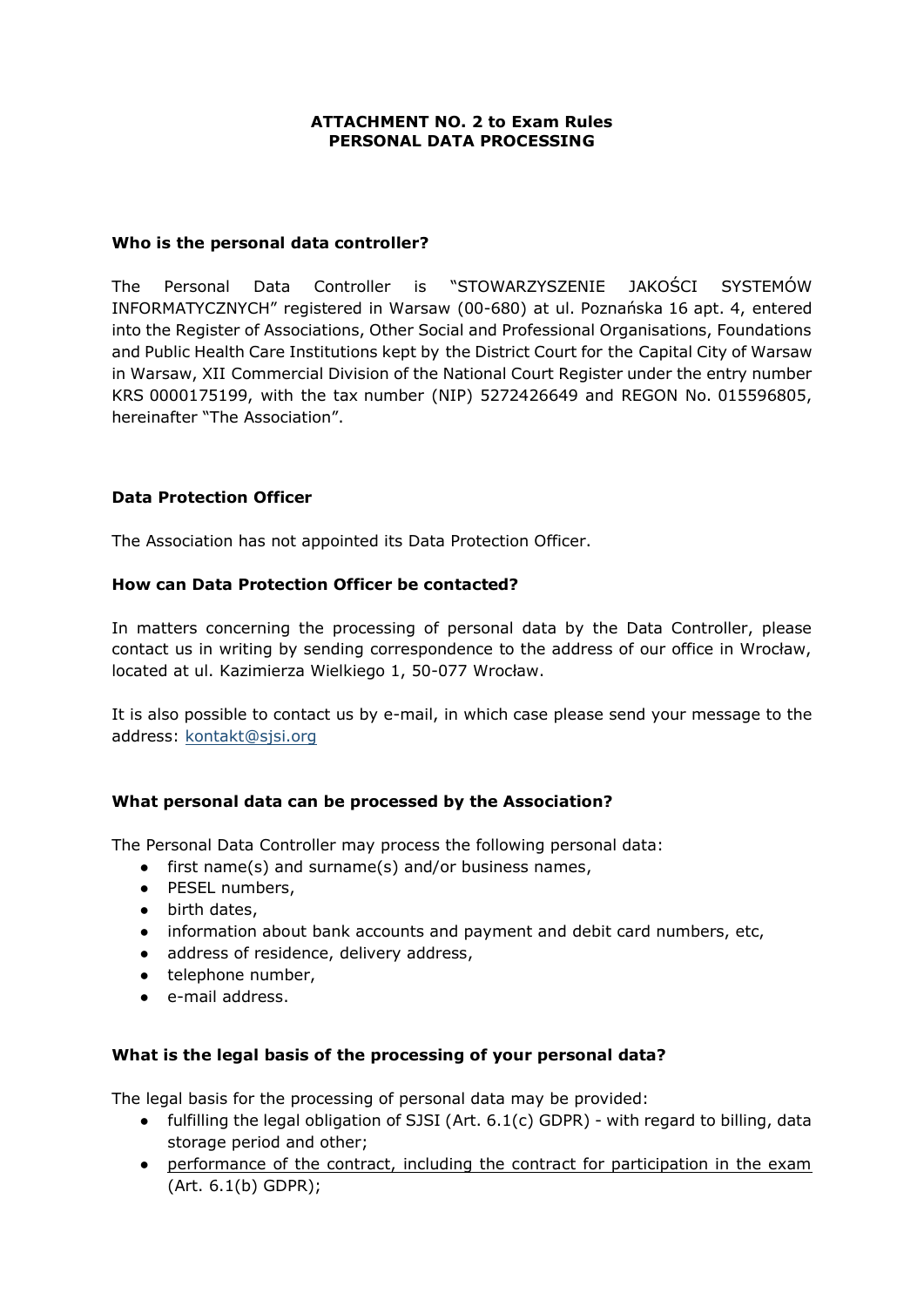### **ATTACHMENT NO. 2 to Exam Rules PERSONAL DATA PROCESSING**

### **Who is the personal data controller?**

The Personal Data Controller is "STOWARZYSZENIE JAKOŚCI SYSTEMÓW INFORMATYCZNYCH" registered in Warsaw (00-680) at ul. Poznańska 16 apt. 4, entered into the Register of Associations, Other Social and Professional Organisations, Foundations and Public Health Care Institutions kept by the District Court for the Capital City of Warsaw in Warsaw, XII Commercial Division of the National Court Register under the entry number KRS 0000175199, with the tax number (NIP) 5272426649 and REGON No. 015596805, hereinafter "The Association".

## **Data Protection Officer**

The Association has not appointed its Data Protection Officer.

### **How can Data Protection Officer be contacted?**

In matters concerning the processing of personal data by the Data Controller, please contact us in writing by sending correspondence to the address of our office in Wrocław, located at ul. Kazimierza Wielkiego 1, 50-077 Wrocław.

It is also possible to contact us by e-mail, in which case please send your message to the address: [kontakt@sjsi.org](mailto:kontakt@sjsi.org)

## **What personal data can be processed by the Association?**

The Personal Data Controller may process the following personal data:

- first name(s) and surname(s) and/or business names,
- PESEL numbers,
- birth dates,
- information about bank accounts and payment and debit card numbers, etc,
- address of residence, delivery address,
- telephone number,
- e-mail address.

### **What is the legal basis of the processing of your personal data?**

The legal basis for the processing of personal data may be provided:

- fulfilling the legal obligation of SJSI (Art.  $6.1(c)$  GDPR) with regard to billing, data storage period and other;
- performance of the contract, including the contract for participation in the exam (Art. 6.1(b) GDPR);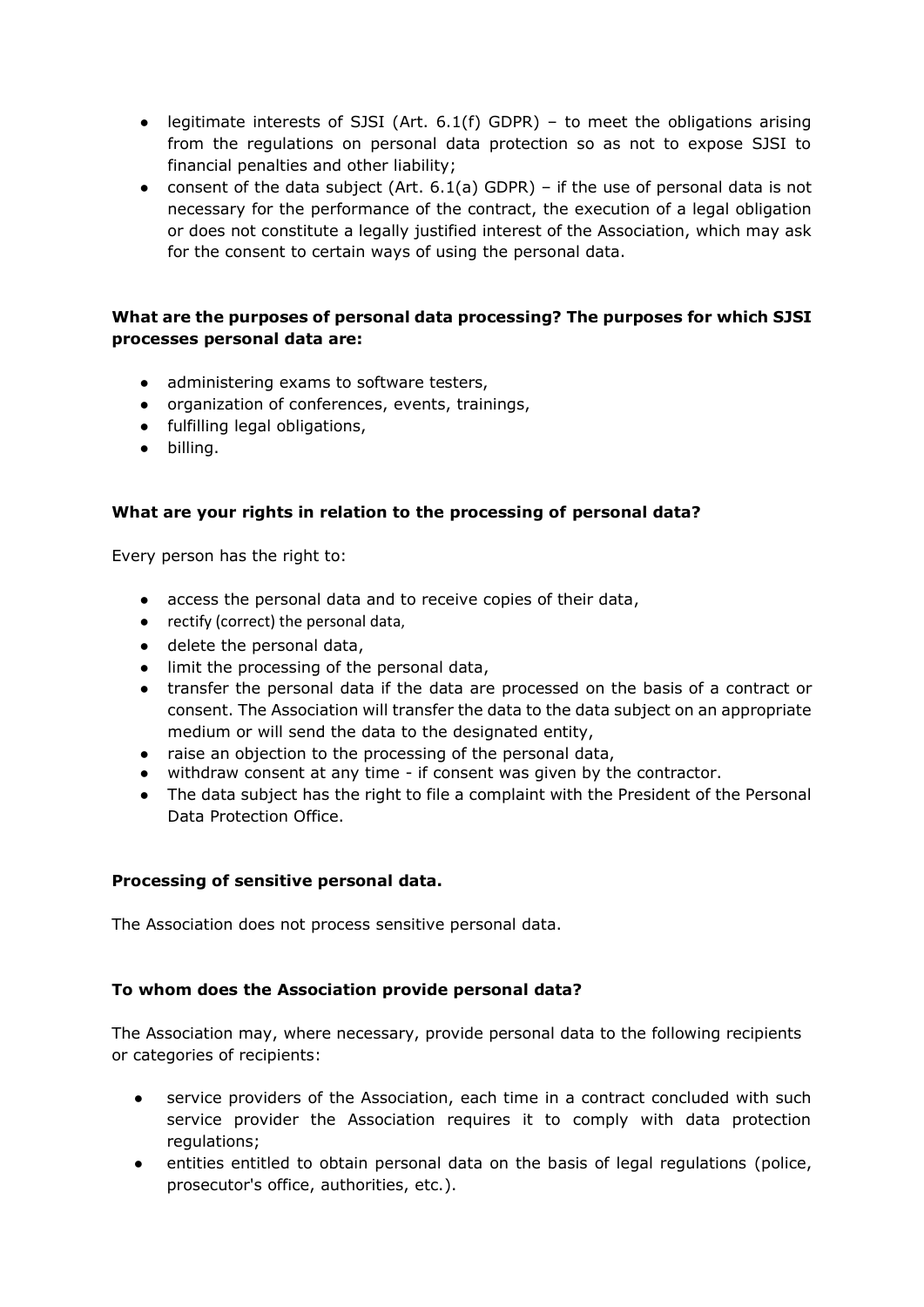- legitimate interests of SJSI (Art.  $6.1(f)$  GDPR) to meet the obligations arising from the regulations on personal data protection so as not to expose SJSI to financial penalties and other liability;
- consent of the data subject (Art.  $6.1(a)$  GDPR) if the use of personal data is not necessary for the performance of the contract, the execution of a legal obligation or does not constitute a legally justified interest of the Association, which may ask for the consent to certain ways of using the personal data.

# **What are the purposes of personal data processing? The purposes for which SJSI processes personal data are:**

- administering exams to software testers,
- organization of conferences, events, trainings,
- fulfilling legal obligations,
- billing.

## **What are your rights in relation to the processing of personal data?**

Every person has the right to:

- access the personal data and to receive copies of their data,
- rectify (correct) the personal data,
- delete the personal data,
- limit the processing of the personal data,
- transfer the personal data if the data are processed on the basis of a contract or consent. The Association will transfer the data to the data subject on an appropriate medium or will send the data to the designated entity,
- raise an objection to the processing of the personal data,
- withdraw consent at any time if consent was given by the contractor.
- The data subject has the right to file a complaint with the President of the Personal Data Protection Office.

## **Processing of sensitive personal data.**

The Association does not process sensitive personal data.

## **To whom does the Association provide personal data?**

The Association may, where necessary, provide personal data to the following recipients or categories of recipients:

- service providers of the Association, each time in a contract concluded with such service provider the Association requires it to comply with data protection regulations;
- entities entitled to obtain personal data on the basis of legal regulations (police, prosecutor's office, authorities, etc.).